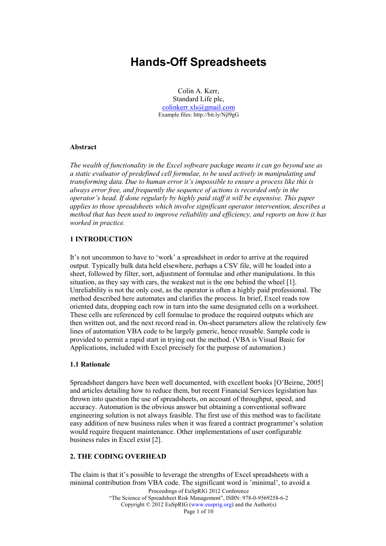# Hands-Off Spreadsheets

Colin A. Kerr, Standard Life plc, colinkerr.xls@gmail.com Example files: http://bit.ly/Njl9gG

#### Abstract

The wealth of functionality in the Excel software package means it can go beyond use as a static evaluator of predefined cell formulae, to be used actively in manipulating and transforming data. Due to human error it's impossible to ensure a process like this is always error free, and frequently the sequence of actions is recorded only in the operator's head. If done regularly by highly paid staff it will be expensive. This paper applies to those spreadsheets which involve significant operator intervention, describes a method that has been used to improve reliability and efficiency, and reports on how it has worked in practice.

#### 1 INTRODUCTION

It's not uncommon to have to 'work' a spreadsheet in order to arrive at the required output. Typically bulk data held elsewhere, perhaps a CSV file, will be loaded into a sheet, followed by filter, sort, adjustment of formulae and other manipulations. In this situation, as they say with cars, the weakest nut is the one behind the wheel [1]. Unreliability is not the only cost, as the operator is often a highly paid professional. The method described here automates and clarifies the process. In brief, Excel reads row oriented data, dropping each row in turn into the same designated cells on a worksheet. These cells are referenced by cell formulae to produce the required outputs which are then written out, and the next record read in. On-sheet parameters allow the relatively few lines of automation VBA code to be largely generic, hence reusable. Sample code is provided to permit a rapid start in trying out the method. (VBA is Visual Basic for Applications, included with Excel precisely for the purpose of automation.)

#### 1.1 Rationale

Spreadsheet dangers have been well documented, with excellent books [O'Beirne, 2005] and articles detailing how to reduce them, but recent Financial Services legislation has thrown into question the use of spreadsheets, on account of throughput, speed, and accuracy. Automation is the obvious answer but obtaining a conventional software engineering solution is not always feasible. The first use of this method was to facilitate easy addition of new business rules when it was feared a contract programmer's solution would require frequent maintenance. Other implementations of user configurable business rules in Excel exist [2].

#### 2. THE CODING OVERHEAD

Proceedings of EuSpRIG 2012 Conference "The Science of Spreadsheet Risk Management", ISBN: 978-0-9569258-6-2 Copyright © 2012 EuSpRIG (www.eusprig.org) and the Author(s) Page 1 of 10 The claim is that it's possible to leverage the strengths of Excel spreadsheets with a minimal contribution from VBA code. The significant word is 'minimal', to avoid a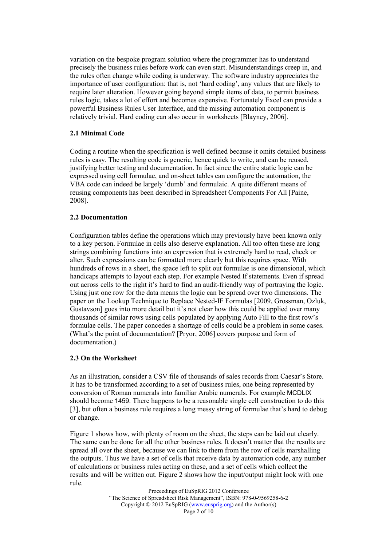variation on the bespoke program solution where the programmer has to understand precisely the business rules before work can even start. Misunderstandings creep in, and the rules often change while coding is underway. The software industry appreciates the importance of user configuration: that is, not 'hard coding', any values that are likely to require later alteration. However going beyond simple items of data, to permit business rules logic, takes a lot of effort and becomes expensive. Fortunately Excel can provide a powerful Business Rules User Interface, and the missing automation component is relatively trivial. Hard coding can also occur in worksheets [Blayney, 2006].

#### 2.1 Minimal Code

Coding a routine when the specification is well defined because it omits detailed business rules is easy. The resulting code is generic, hence quick to write, and can be reused, justifying better testing and documentation. In fact since the entire static logic can be expressed using cell formulae, and on-sheet tables can configure the automation, the VBA code can indeed be largely 'dumb' and formulaic. A quite different means of reusing components has been described in Spreadsheet Components For All [Paine, 2008].

### 2.2 Documentation

Configuration tables define the operations which may previously have been known only to a key person. Formulae in cells also deserve explanation. All too often these are long strings combining functions into an expression that is extremely hard to read, check or alter. Such expressions can be formatted more clearly but this requires space. With hundreds of rows in a sheet, the space left to split out formulae is one dimensional, which handicaps attempts to layout each step. For example Nested If statements. Even if spread out across cells to the right it's hard to find an audit-friendly way of portraying the logic. Using just one row for the data means the logic can be spread over two dimensions. The paper on the Lookup Technique to Replace Nested-IF Formulas [2009, Grossman, Ozluk, Gustavson] goes into more detail but it's not clear how this could be applied over many thousands of similar rows using cells populated by applying Auto Fill to the first row's formulae cells. The paper concedes a shortage of cells could be a problem in some cases. (What's the point of documentation? [Pryor, 2006] covers purpose and form of documentation.)

## 2.3 On the Worksheet

As an illustration, consider a CSV file of thousands of sales records from Caesar's Store. It has to be transformed according to a set of business rules, one being represented by conversion of Roman numerals into familiar Arabic numerals. For example MCDLIX should become 1459. There happens to be a reasonable single cell construction to do this [3], but often a business rule requires a long messy string of formulae that's hard to debug or change.

Figure 1 shows how, with plenty of room on the sheet, the steps can be laid out clearly. The same can be done for all the other business rules. It doesn't matter that the results are spread all over the sheet, because we can link to them from the row of cells marshalling the outputs. Thus we have a set of cells that receive data by automation code, any number of calculations or business rules acting on these, and a set of cells which collect the results and will be written out. Figure 2 shows how the input/output might look with one rule.

> Proceedings of EuSpRIG 2012 Conference "The Science of Spreadsheet Risk Management", ISBN: 978-0-9569258-6-2 Copyright © 2012 EuSpRIG (www.eusprig.org) and the Author(s) Page 2 of 10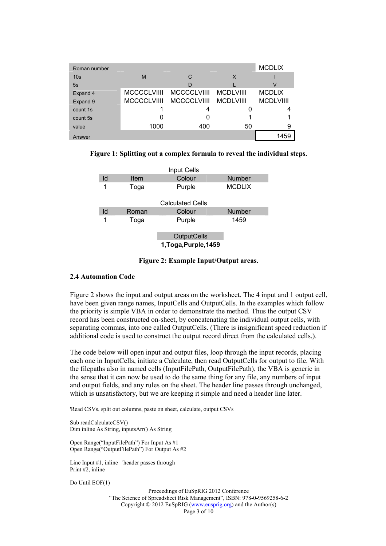| Roman number    |      |                         |                  | <b>MCDLIX</b>    |
|-----------------|------|-------------------------|------------------|------------------|
| 10 <sub>s</sub> | M    | С                       | X                |                  |
| 5s              |      | D                       |                  | V                |
| Expand 4        |      | MCCCCLVIIII MCCCCLVIIII | <b>MCDLVIIII</b> | <b>MCDLIX</b>    |
| Expand 9        |      | MCCCCLVIIII MCCCCLVIIII | <b>MCDLVIIII</b> | <b>MCDLVIIII</b> |
| count 1s        |      |                         |                  |                  |
| count 5s        |      |                         |                  |                  |
| value           | 1000 | 400                     | 50               | 9                |
| Answer          |      |                         |                  | 1459             |

Figure 1: Splitting out a complex formula to reveal the individual steps.

|    |       | <b>Input Cells</b>                          |               |
|----|-------|---------------------------------------------|---------------|
| Id | Item  | Colour                                      | <b>Number</b> |
| 1  | Toga  | Purple                                      | <b>MCDLIX</b> |
|    |       | <b>Calculated Cells</b>                     |               |
| ld | Roman | Colour                                      | <b>Number</b> |
| 1  | Toga  | Purple                                      | 1459          |
|    |       | <b>OutputCells</b><br>1, Toga, Purple, 1459 |               |

## Figure 2: Example Input/Output areas.

#### 2.4 Automation Code

Figure 2 shows the input and output areas on the worksheet. The 4 input and 1 output cell, have been given range names, InputCells and OutputCells. In the examples which follow the priority is simple VBA in order to demonstrate the method. Thus the output CSV record has been constructed on-sheet, by concatenating the individual output cells, with separating commas, into one called OutputCells. (There is insignificant speed reduction if additional code is used to construct the output record direct from the calculated cells.).

The code below will open input and output files, loop through the input records, placing each one in InputCells, initiate a Calculate, then read OutputCells for output to file. With the filepaths also in named cells (InputFilePath, OutputFilePath), the VBA is generic in the sense that it can now be used to do the same thing for any file, any numbers of input and output fields, and any rules on the sheet. The header line passes through unchanged, which is unsatisfactory, but we are keeping it simple and need a header line later.

'Read CSVs, split out columns, paste on sheet, calculate, output CSVs

Sub readCalculateCSV() Dim inline As String, inputsArr() As String

Open Range("InputFilePath") For Input As #1 Open Range("OutputFilePath") For Output As #2

Line Input #1, inline 'header passes through Print #2, inline

Do Until EOF(1)

Proceedings of EuSpRIG 2012 Conference "The Science of Spreadsheet Risk Management", ISBN: 978-0-9569258-6-2 Copyright © 2012 EuSpRIG (www.eusprig.org) and the Author(s) Page 3 of 10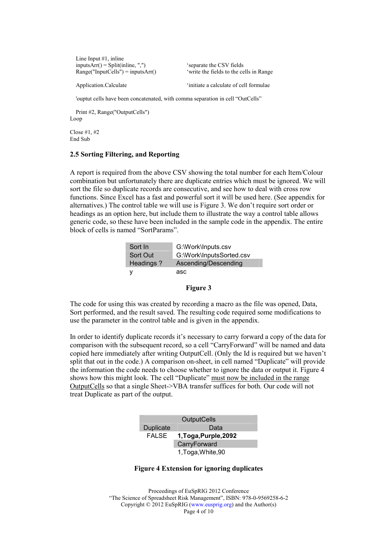| Line Input $#1$ , inline            |  |
|-------------------------------------|--|
| $inputsArr() = Split(inline, ",")$  |  |
| $Range("InputCells") = inputsArr()$ |  |

'separate the CSV fields 'write the fields to the cells in Range

Application.Calculate  $\ddot{\text{ } }$  'initiate a calculate of cell formulae

'ouptut cells have been concatenated, with comma separation in cell "OutCells"

 Print #2, Range("OutputCells") Loop

Close #1, #2 End Sub

#### 2.5 Sorting Filtering, and Reporting

A report is required from the above CSV showing the total number for each Item/Colour combination but unfortunately there are duplicate entries which must be ignored. We will sort the file so duplicate records are consecutive, and see how to deal with cross row functions. Since Excel has a fast and powerful sort it will be used here. (See appendix for alternatives.) The control table we will use is Figure 3. We don't require sort order or headings as an option here, but include them to illustrate the way a control table allows generic code, so these have been included in the sample code in the appendix. The entire block of cells is named "SortParams".

| Sort In   | G:\Work\Inputs.csv       |
|-----------|--------------------------|
| Sort Out  | G:\Work\InputsSorted.csv |
| Headings? | Ascending/Descending     |
|           | asc                      |

#### Figure 3

The code for using this was created by recording a macro as the file was opened, Data, Sort performed, and the result saved. The resulting code required some modifications to use the parameter in the control table and is given in the appendix.

In order to identify duplicate records it's necessary to carry forward a copy of the data for comparison with the subsequent record, so a cell "CarryForward" will be named and data copied here immediately after writing OutputCell. (Only the Id is required but we haven't split that out in the code.) A comparison on-sheet, in cell named "Duplicate" will provide the information the code needs to choose whether to ignore the data or output it. Figure 4 shows how this might look. The cell "Duplicate" must now be included in the range OutputCells so that a single Sheet->VBA transfer suffices for both. Our code will not treat Duplicate as part of the output.

| <b>OutputCells</b> |                       |  |
|--------------------|-----------------------|--|
| <b>Duplicate</b>   | Data                  |  |
| <b>FALSE</b>       | 1, Toga, Purple, 2092 |  |
|                    | CarryForward          |  |
|                    | 1, Toga, White, 90    |  |

#### Figure 4 Extension for ignoring duplicates

Proceedings of EuSpRIG 2012 Conference "The Science of Spreadsheet Risk Management", ISBN: 978-0-9569258-6-2 Copyright © 2012 EuSpRIG (www.eusprig.org) and the Author(s) Page 4 of 10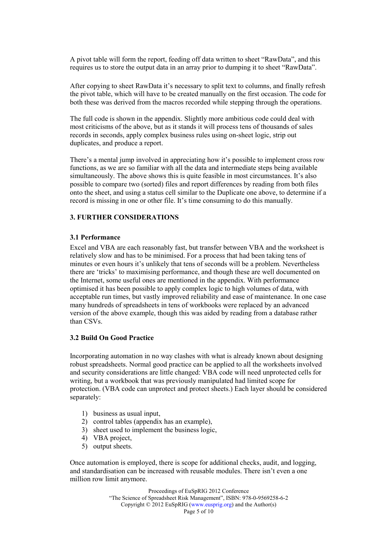A pivot table will form the report, feeding off data written to sheet "RawData", and this requires us to store the output data in an array prior to dumping it to sheet "RawData".

After copying to sheet RawData it's necessary to split text to columns, and finally refresh the pivot table, which will have to be created manually on the first occasion. The code for both these was derived from the macros recorded while stepping through the operations.

The full code is shown in the appendix. Slightly more ambitious code could deal with most criticisms of the above, but as it stands it will process tens of thousands of sales records in seconds, apply complex business rules using on-sheet logic, strip out duplicates, and produce a report.

There's a mental jump involved in appreciating how it's possible to implement cross row functions, as we are so familiar with all the data and intermediate steps being available simultaneously. The above shows this is quite feasible in most circumstances. It's also possible to compare two (sorted) files and report differences by reading from both files onto the sheet, and using a status cell similar to the Duplicate one above, to determine if a record is missing in one or other file. It's time consuming to do this manually.

### 3. FURTHER CONSIDERATIONS

#### 3.1 Performance

Excel and VBA are each reasonably fast, but transfer between VBA and the worksheet is relatively slow and has to be minimised. For a process that had been taking tens of minutes or even hours it's unlikely that tens of seconds will be a problem. Nevertheless there are 'tricks' to maximising performance, and though these are well documented on the Internet, some useful ones are mentioned in the appendix. With performance optimised it has been possible to apply complex logic to high volumes of data, with acceptable run times, but vastly improved reliability and ease of maintenance. In one case many hundreds of spreadsheets in tens of workbooks were replaced by an advanced version of the above example, though this was aided by reading from a database rather than CSVs.

#### 3.2 Build On Good Practice

Incorporating automation in no way clashes with what is already known about designing robust spreadsheets. Normal good practice can be applied to all the worksheets involved and security considerations are little changed: VBA code will need unprotected cells for writing, but a workbook that was previously manipulated had limited scope for protection. (VBA code can unprotect and protect sheets.) Each layer should be considered separately:

- 1) business as usual input,
- 2) control tables (appendix has an example),
- 3) sheet used to implement the business logic,
- 4) VBA project,
- 5) output sheets.

Once automation is employed, there is scope for additional checks, audit, and logging, and standardisation can be increased with reusable modules. There isn't even a one million row limit anymore.

> Proceedings of EuSpRIG 2012 Conference "The Science of Spreadsheet Risk Management", ISBN: 978-0-9569258-6-2 Copyright © 2012 EuSpRIG (www.eusprig.org) and the Author(s) Page 5 of 10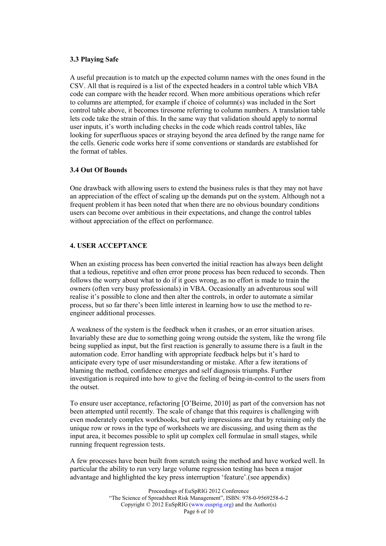#### 3.3 Playing Safe

A useful precaution is to match up the expected column names with the ones found in the CSV. All that is required is a list of the expected headers in a control table which VBA code can compare with the header record. When more ambitious operations which refer to columns are attempted, for example if choice of column(s) was included in the Sort control table above, it becomes tiresome referring to column numbers. A translation table lets code take the strain of this. In the same way that validation should apply to normal user inputs, it's worth including checks in the code which reads control tables, like looking for superfluous spaces or straying beyond the area defined by the range name for the cells. Generic code works here if some conventions or standards are established for the format of tables.

#### 3.4 Out Of Bounds

One drawback with allowing users to extend the business rules is that they may not have an appreciation of the effect of scaling up the demands put on the system. Although not a frequent problem it has been noted that when there are no obvious boundary conditions users can become over ambitious in their expectations, and change the control tables without appreciation of the effect on performance.

### 4. USER ACCEPTANCE

When an existing process has been converted the initial reaction has always been delight that a tedious, repetitive and often error prone process has been reduced to seconds. Then follows the worry about what to do if it goes wrong, as no effort is made to train the owners (often very busy professionals) in VBA. Occasionally an adventurous soul will realise it's possible to clone and then alter the controls, in order to automate a similar process, but so far there's been little interest in learning how to use the method to reengineer additional processes.

A weakness of the system is the feedback when it crashes, or an error situation arises. Invariably these are due to something going wrong outside the system, like the wrong file being supplied as input, but the first reaction is generally to assume there is a fault in the automation code. Error handling with appropriate feedback helps but it's hard to anticipate every type of user misunderstanding or mistake. After a few iterations of blaming the method, confidence emerges and self diagnosis triumphs. Further investigation is required into how to give the feeling of being-in-control to the users from the outset.

To ensure user acceptance, refactoring [O'Beirne, 2010] as part of the conversion has not been attempted until recently. The scale of change that this requires is challenging with even moderately complex workbooks, but early impressions are that by retaining only the unique row or rows in the type of worksheets we are discussing, and using them as the input area, it becomes possible to split up complex cell formulae in small stages, while running frequent regression tests.

A few processes have been built from scratch using the method and have worked well. In particular the ability to run very large volume regression testing has been a major advantage and highlighted the key press interruption 'feature'.(see appendix)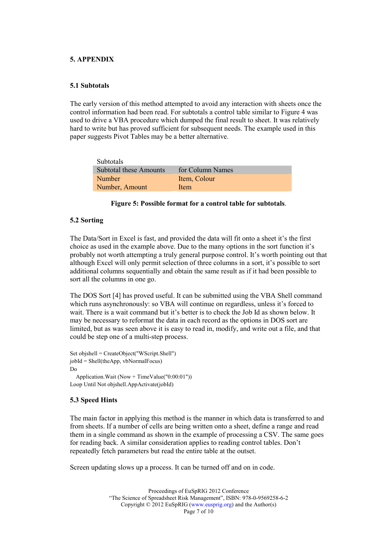#### 5. APPENDIX

#### 5.1 Subtotals

The early version of this method attempted to avoid any interaction with sheets once the control information had been read. For subtotals a control table similar to Figure 4 was used to drive a VBA procedure which dumped the final result to sheet. It was relatively hard to write but has proved sufficient for subsequent needs. The example used in this paper suggests Pivot Tables may be a better alternative.

| <b>Subtotals</b>       |                  |
|------------------------|------------------|
| Subtotal these Amounts | for Column Names |
| <b>Number</b>          | Item, Colour     |
| Number, Amount         | Item             |

#### Figure 5: Possible format for a control table for subtotals.

#### 5.2 Sorting

The Data/Sort in Excel is fast, and provided the data will fit onto a sheet it's the first choice as used in the example above. Due to the many options in the sort function it's probably not worth attempting a truly general purpose control. It's worth pointing out that although Excel will only permit selection of three columns in a sort, it's possible to sort additional columns sequentially and obtain the same result as if it had been possible to sort all the columns in one go.

The DOS Sort [4] has proved useful. It can be submitted using the VBA Shell command which runs asynchronously: so VBA will continue on regardless, unless it's forced to wait. There is a wait command but it's better is to check the Job Id as shown below. It may be necessary to reformat the data in each record as the options in DOS sort are limited, but as was seen above it is easy to read in, modify, and write out a file, and that could be step one of a multi-step process.

```
Set objshell = CreateObject("WScript.Shell") 
jobId = Shell(theApp, vbNormalFocus) 
Do 
   Application.Wait (Now + TimeValue("0:00:01")) 
Loop Until Not objshell.AppActivate(jobId)
```
## 5.3 Speed Hints

The main factor in applying this method is the manner in which data is transferred to and from sheets. If a number of cells are being written onto a sheet, define a range and read them in a single command as shown in the example of processing a CSV. The same goes for reading back. A similar consideration applies to reading control tables. Don't repeatedly fetch parameters but read the entire table at the outset.

Screen updating slows up a process. It can be turned off and on in code.

Proceedings of EuSpRIG 2012 Conference "The Science of Spreadsheet Risk Management", ISBN: 978-0-9569258-6-2 Copyright © 2012 EuSpRIG (www.eusprig.org) and the Author(s) Page 7 of 10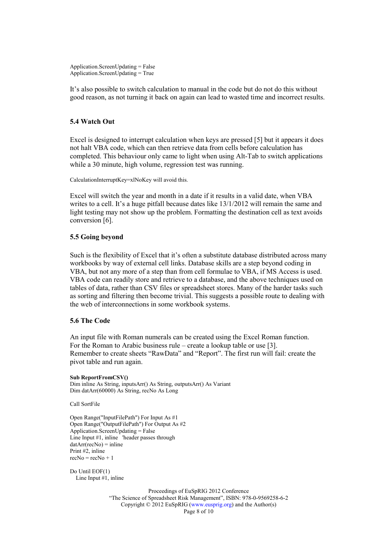Application.ScreenUpdating = False Application.ScreenUpdating = True

It's also possible to switch calculation to manual in the code but do not do this without good reason, as not turning it back on again can lead to wasted time and incorrect results.

#### 5.4 Watch Out

Excel is designed to interrupt calculation when keys are pressed [5] but it appears it does not halt VBA code, which can then retrieve data from cells before calculation has completed. This behaviour only came to light when using Alt-Tab to switch applications while a 30 minute, high volume, regression test was running.

CalculationInterruptKey=xlNoKey will avoid this.

Excel will switch the year and month in a date if it results in a valid date, when VBA writes to a cell. It's a huge pitfall because dates like  $13/1/2012$  will remain the same and light testing may not show up the problem. Formatting the destination cell as text avoids conversion [6].

#### 5.5 Going beyond

Such is the flexibility of Excel that it's often a substitute database distributed across many workbooks by way of external cell links. Database skills are a step beyond coding in VBA, but not any more of a step than from cell formulae to VBA, if MS Access is used. VBA code can readily store and retrieve to a database, and the above techniques used on tables of data, rather than CSV files or spreadsheet stores. Many of the harder tasks such as sorting and filtering then become trivial. This suggests a possible route to dealing with the web of interconnections in some workbook systems.

#### 5.6 The Code

An input file with Roman numerals can be created using the Excel Roman function. For the Roman to Arabic business rule – create a lookup table or use [3]. Remember to create sheets "RawData" and "Report". The first run will fail: create the pivot table and run again.

#### Sub ReportFromCSV()

Dim inline As String, inputsArr() As String, outputsArr() As Variant Dim datArr(60000) As String, recNo As Long

Call SortFile

Open Range("InputFilePath") For Input As #1 Open Range("OutputFilePath") For Output As #2 Application.ScreenUpdating = False Line Input #1, inline 'header passes through  $datArr(recNo) = inline$ Print #2, inline  $recNo = recNo + 1$ 

Do Until EOF(1) Line Input #1, inline

> Proceedings of EuSpRIG 2012 Conference "The Science of Spreadsheet Risk Management", ISBN: 978-0-9569258-6-2 Copyright © 2012 EuSpRIG (www.eusprig.org) and the Author(s) Page 8 of 10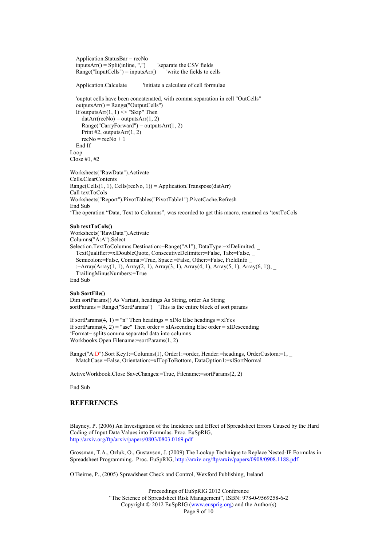```
 Application.StatusBar = recNo 
inputsArr() = Split(nline, ",") 'separate the CSV fields'
Range("InputCells") = inputsArr() 'write the fields to cells
```
Application.Calculate 'initiate a calculate of cell formulae

```
 'ouptut cells have been concatenated, with comma separation in cell "OutCells" 
   outputsArr() = Range("OutputCells") 
  If outputsArr(1, 1) \diamond "Skip" Then
     datArr(recNo) = outputsArr(1, 2)Range("CarryForward") = outputsArr(1, 2)Print #2, outputsArr(1, 2)recNo = recNo + 1 End If 
Loop 
Close #1, #2
```
Worksheets("RawData").Activate Cells.ClearContents  $Range(Cells(1, 1), Cells(recNo, 1)) = Application.Transpose(dataArr)$ Call textToCols Worksheets("Report").PivotTables("PivotTable1").PivotCache.Refresh End Sub 'The operation "Data, Text to Columns", was recorded to get this macro, renamed as 'textToCols

#### Sub textToCols()

Worksheets("RawData").Activate Columns("A:A").Select Selection.TextToColumns Destination:=Range("A1"), DataType:=xlDelimited, \_ TextQualifier:=xlDoubleQuote, ConsecutiveDelimiter:=False, Tab:=False, \_ Semicolon:=False, Comma:=True, Space:=False, Other:=False, FieldInfo \_ :=Array(Array(1, 1), Array(2, 1), Array(3, 1), Array(4, 1), Array(5, 1), Array(6, 1)), TrailingMinusNumbers:=True End Sub

#### Sub SortFile()

Dim sortParams() As Variant, headings As String, order As String sortParams = Range("SortParams") 'This is the entire block of sort params

```
If sortParams(4, 1) = "n" Then headings = xlNo Else headings = xlYes
If sortParams(4, 2) = "asc" Then order = xlAscending Else order = xlDescending
'Format= splits comma separated data into columns 
Workbooks.Open Filename:=sortParams(1, 2)
```
Range("A:D").Sort Key1:=Columns(1), Order1:=order, Header:=headings, OrderCustom:=1, MatchCase:=False, Orientation:=xlTopToBottom, DataOption1:=xlSortNormal

ActiveWorkbook.Close SaveChanges:=True, Filename:=sortParams(2, 2)

End Sub

### **REFERENCES**

Blayney, P. (2006) An Investigation of the Incidence and Effect of Spreadsheet Errors Caused by the Hard Coding of Input Data Values into Formulas. Proc. EuSpRIG, http://arxiv.org/ftp/arxiv/papers/0803/0803.0169.pdf

Grossman, T.A., Ozluk, O., Gustavson, J. (2009) The Lookup Technique to Replace Nested-IF Formulas in Spreadsheet Programming. Proc. EuSpRIG, http://arxiv.org/ftp/arxiv/papers/0908/0908.1188.pdf

O'Beirne, P., (2005) Spreadsheet Check and Control, Wexford Publishing, Ireland

Proceedings of EuSpRIG 2012 Conference "The Science of Spreadsheet Risk Management", ISBN: 978-0-9569258-6-2 Copyright © 2012 EuSpRIG (www.eusprig.org) and the Author(s) Page 9 of 10